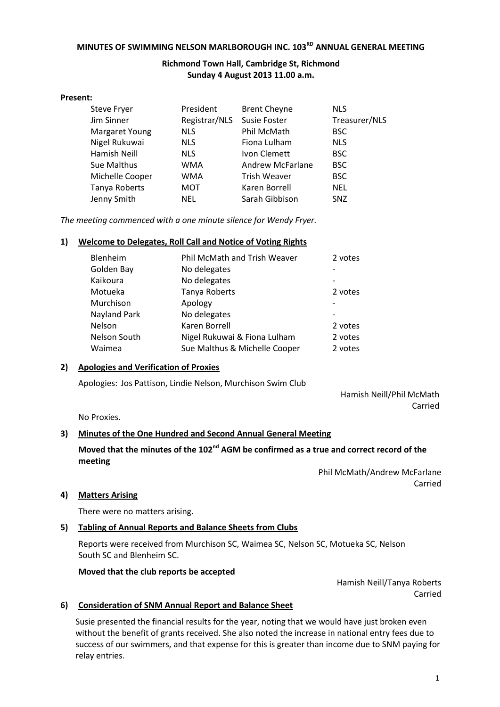# **MINUTES OF SWIMMING NELSON MARLBOROUGH INC. 103RD ANNUAL GENERAL MEETING**

## **Richmond Town Hall, Cambridge St, Richmond Sunday 4 August 2013 11.00 a.m.**

#### **Present:**

| <b>Steve Fryer</b>    | President     | <b>Brent Cheyne</b>     | <b>NLS</b>    |
|-----------------------|---------------|-------------------------|---------------|
| Jim Sinner            | Registrar/NLS | <b>Susie Foster</b>     | Treasurer/NLS |
| <b>Margaret Young</b> | <b>NLS</b>    | Phil McMath             | <b>BSC</b>    |
| Nigel Rukuwai         | <b>NLS</b>    | Fiona Lulham            | <b>NLS</b>    |
| Hamish Neill          | <b>NLS</b>    | Ivon Clemett            | <b>BSC</b>    |
| Sue Malthus           | <b>WMA</b>    | <b>Andrew McFarlane</b> | <b>BSC</b>    |
| Michelle Cooper       | <b>WMA</b>    | <b>Trish Weaver</b>     | <b>BSC</b>    |
| Tanya Roberts         | <b>MOT</b>    | Karen Borrell           | <b>NEL</b>    |
| Jenny Smith           | NEL           | Sarah Gibbison          | <b>SNZ</b>    |

*The meeting commenced with a one minute silence for Wendy Fryer.*

#### **1) Welcome to Delegates, Roll Call and Notice of Voting Rights**

| Blenheim     | Phil McMath and Trish Weaver  | 2 votes |
|--------------|-------------------------------|---------|
| Golden Bay   | No delegates                  |         |
| Kaikoura     | No delegates                  |         |
| Motueka      | Tanya Roberts                 | 2 votes |
| Murchison    | Apology                       |         |
| Nayland Park | No delegates                  |         |
| Nelson       | Karen Borrell                 | 2 votes |
| Nelson South | Nigel Rukuwai & Fiona Lulham  | 2 votes |
| Waimea       | Sue Malthus & Michelle Cooper | 2 votes |
|              |                               |         |

#### **2) Apologies and Verification of Proxies**

Apologies: Jos Pattison, Lindie Nelson, Murchison Swim Club

Hamish Neill/Phil McMath Carried

No Proxies.

#### **3) Minutes of the One Hundred and Second Annual General Meeting**

## **Moved that the minutes of the 102nd AGM be confirmed as a true and correct record of the meeting**

Phil McMath/Andrew McFarlane Carried

#### **4) Matters Arising**

There were no matters arising.

#### **5) Tabling of Annual Reports and Balance Sheets from Clubs**

Reports were received from Murchison SC, Waimea SC, Nelson SC, Motueka SC, Nelson South SC and Blenheim SC.

#### **Moved that the club reports be accepted**

Hamish Neill/Tanya Roberts Carried

#### **6) Consideration of SNM Annual Report and Balance Sheet**

Susie presented the financial results for the year, noting that we would have just broken even without the benefit of grants received. She also noted the increase in national entry fees due to success of our swimmers, and that expense for this is greater than income due to SNM paying for relay entries.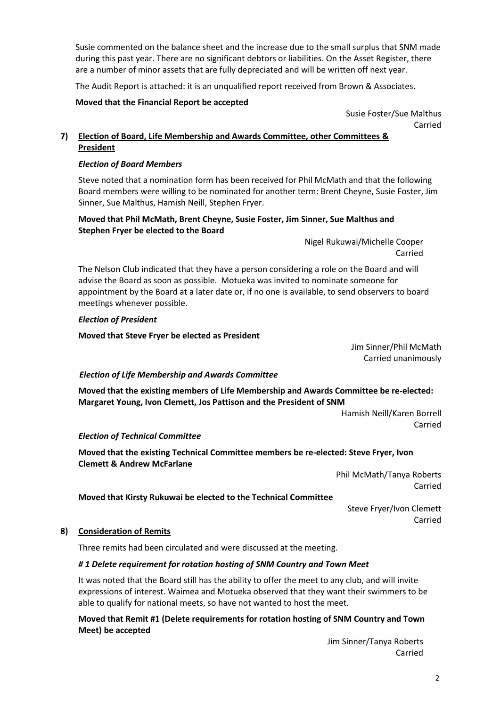Susie commented on the balance sheet and the increase due to the small surplus that SNM made during this past year. There are no significant debtors or liabilities. On the Asset Register, there are a number of minor assets that are fully depreciated and will be written off next year.

The Audit Report is attached: it is an unqualified report received from Brown & Associates.

## **Moved that the Financial Report be accepted**

Susie Foster/Sue Malthus Carried

## **7) Election of Board, Life Membership and Awards Committee, other Committees & President**

## *Election of Board Members*

Steve noted that a nomination form has been received for Phil McMath and that the following Board members were willing to be nominated for another term: Brent Cheyne, Susie Foster, Jim Sinner, Sue Malthus, Hamish Neill, Stephen Fryer.

## **Moved that Phil McMath, Brent Cheyne, Susie Foster, Jim Sinner, Sue Malthus and Stephen Fryer be elected to the Board**

Nigel Rukuwai/Michelle Cooper Carried

The Nelson Club indicated that they have a person considering a role on the Board and will advise the Board as soon as possible. Motueka was invited to nominate someone for appointment by the Board at a later date or, if no one is available, to send observers to board meetings whenever possible.

## *Election of President*

**Moved that Steve Fryer be elected as President**

Jim Sinner/Phil McMath Carried unanimously

## *Election of Life Membership and Awards Committee*

**Moved that the existing members of Life Membership and Awards Committee be re-elected: Margaret Young, Ivon Clemett, Jos Pattison and the President of SNM**

> Hamish Neill/Karen Borrell Carried

## *Election of Technical Committee*

**Moved that the existing Technical Committee members be re-elected: Steve Fryer, Ivon Clemett & Andrew McFarlane**

> Phil McMath/Tanya Roberts Carried

## **Moved that Kirsty Rukuwai be elected to the Technical Committee**

Steve Fryer/Ivon Clemett Carried

#### **8) Consideration of Remits**

Three remits had been circulated and were discussed at the meeting.

## *# 1 Delete requirement for rotation hosting of SNM Country and Town Meet*

It was noted that the Board still has the ability to offer the meet to any club, and will invite expressions of interest. Waimea and Motueka observed that they want their swimmers to be able to qualify for national meets, so have not wanted to host the meet.

## **Moved that Remit #1 (Delete requirements for rotation hosting of SNM Country and Town Meet) be accepted**

Jim Sinner/Tanya Roberts Carried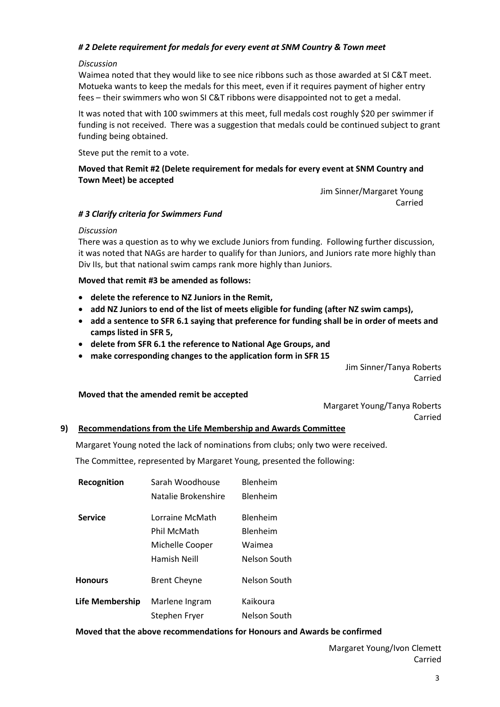## *# 2 Delete requirement for medals for every event at SNM Country & Town meet*

#### *Discussion*

Waimea noted that they would like to see nice ribbons such as those awarded at SI C&T meet. Motueka wants to keep the medals for this meet, even if it requires payment of higher entry fees – their swimmers who won SI C&T ribbons were disappointed not to get a medal.

It was noted that with 100 swimmers at this meet, full medals cost roughly \$20 per swimmer if funding is not received. There was a suggestion that medals could be continued subject to grant funding being obtained.

Steve put the remit to a vote.

## **Moved that Remit #2 (Delete requirement for medals for every event at SNM Country and Town Meet) be accepted**

Jim Sinner/Margaret Young Carried

#### *# 3 Clarify criteria for Swimmers Fund*

#### *Discussion*

There was a question as to why we exclude Juniors from funding. Following further discussion, it was noted that NAGs are harder to qualify for than Juniors, and Juniors rate more highly than Div IIs, but that national swim camps rank more highly than Juniors.

#### **Moved that remit #3 be amended as follows:**

- **delete the reference to NZ Juniors in the Remit,**
- **add NZ Juniors to end of the list of meets eligible for funding (after NZ swim camps),**
- **add a sentence to SFR 6.1 saying that preference for funding shall be in order of meets and camps listed in SFR 5,**
- **delete from SFR 6.1 the reference to National Age Groups, and**
- **make corresponding changes to the application form in SFR 15**

Jim Sinner/Tanya Roberts Carried

#### **Moved that the amended remit be accepted**

Margaret Young/Tanya Roberts Carried

#### **9) Recommendations from the Life Membership and Awards Committee**

Margaret Young noted the lack of nominations from clubs; only two were received.

The Committee, represented by Margaret Young, presented the following:

| Recognition     | Sarah Woodhouse     | Blenheim            |
|-----------------|---------------------|---------------------|
|                 | Natalie Brokenshire | <b>Blenheim</b>     |
| <b>Service</b>  | Lorraine McMath     | Blenheim            |
|                 | Phil McMath         | <b>Blenheim</b>     |
|                 | Michelle Cooper     | Waimea              |
|                 | Hamish Neill        | Nelson South        |
| <b>Honours</b>  | <b>Brent Cheyne</b> | Nelson South        |
| Life Membership | Marlene Ingram      | Kaikoura            |
|                 | Stephen Fryer       | <b>Nelson South</b> |

#### **Moved that the above recommendations for Honours and Awards be confirmed**

Margaret Young/Ivon Clemett Carried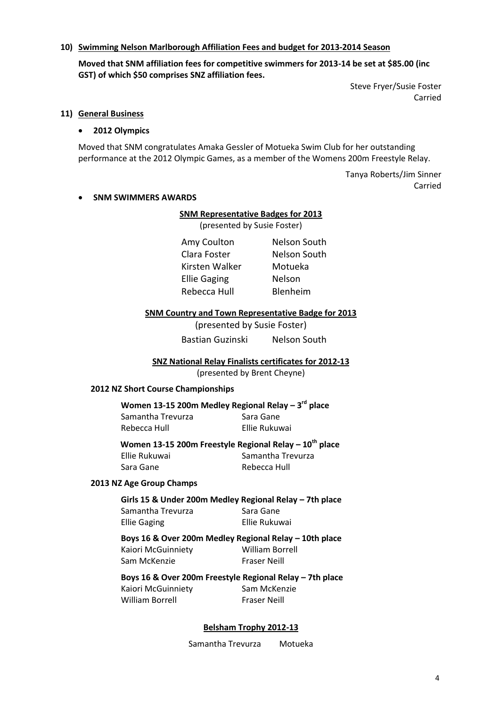### **10) Swimming Nelson Marlborough Affiliation Fees and budget for 2013-2014 Season**

**Moved that SNM affiliation fees for competitive swimmers for 2013-14 be set at \$85.00 (inc GST) of which \$50 comprises SNZ affiliation fees.**

> Steve Fryer/Susie Foster Carried

#### **11) General Business**

#### **2012 Olympics**

Moved that SNM congratulates Amaka Gessler of Motueka Swim Club for her outstanding performance at the 2012 Olympic Games, as a member of the Womens 200m Freestyle Relay.

> Tanya Roberts/Jim Sinner Carried

#### **SNM SWIMMERS AWARDS**

#### **SNM Representative Badges for 2013**

(presented by Susie Foster)

Kirsten Walker Motueka Ellie Gaging Nelson Rebecca Hull Blenheim

Amy Coulton Nelson South Clara Foster Nelson South

#### **SNM Country and Town Representative Badge for 2013**

(presented by Susie Foster)

Bastian Guzinski Nelson South

#### **SNZ National Relay Finalists certificates for 2012-13**

(presented by Brent Cheyne)

#### **2012 NZ Short Course Championships**

## **Women 13-15 200m Medley Regional Relay – 3 rd place**

| Samantha Trevurza | Sara Gane     |
|-------------------|---------------|
| Rebecca Hull      | Ellie Rukuwai |

**Women 13-15 200m Freestyle Regional Relay – 10th place** Ellie Rukuwai Samantha Trevurza

Sara Gane **Rebecca Hull** 

#### **2013 NZ Age Group Champs**

| Girls 15 & Under 200m Medley Regional Relay - 7th place |               |
|---------------------------------------------------------|---------------|
| Samantha Trevurza                                       | Sara Gane     |
| Ellie Gaging                                            | Ellie Rukuwai |

**Boys 16 & Over 200m Medley Regional Relay – 10th place** 

Kaiori McGuinniety William Borrell Sam McKenzie Fraser Neill

# **Boys 16 & Over 200m Freestyle Regional Relay – 7th place**  Kaiori McGuinniety Sam McKenzie

William Borrell Fraser Neill

#### **Belsham Trophy 2012-13**

Samantha Trevurza Motueka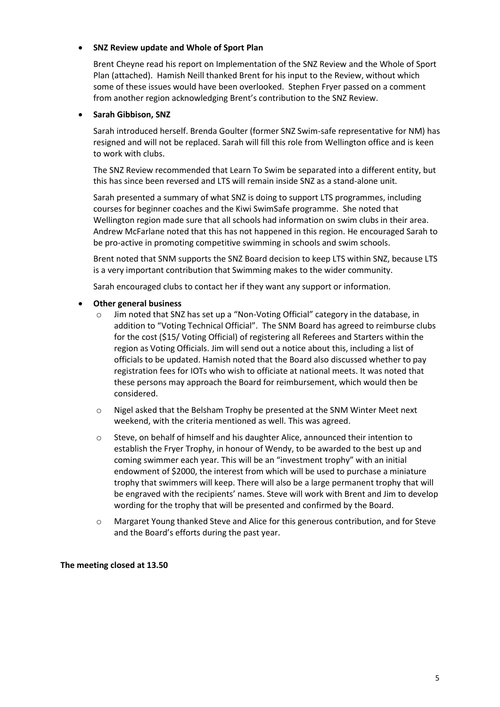## **SNZ Review update and Whole of Sport Plan**

Brent Cheyne read his report on Implementation of the SNZ Review and the Whole of Sport Plan (attached). Hamish Neill thanked Brent for his input to the Review, without which some of these issues would have been overlooked. Stephen Fryer passed on a comment from another region acknowledging Brent's contribution to the SNZ Review.

## **Sarah Gibbison, SNZ**

Sarah introduced herself. Brenda Goulter (former SNZ Swim-safe representative for NM) has resigned and will not be replaced. Sarah will fill this role from Wellington office and is keen to work with clubs.

The SNZ Review recommended that Learn To Swim be separated into a different entity, but this has since been reversed and LTS will remain inside SNZ as a stand-alone unit.

Sarah presented a summary of what SNZ is doing to support LTS programmes, including courses for beginner coaches and the Kiwi SwimSafe programme. She noted that Wellington region made sure that all schools had information on swim clubs in their area. Andrew McFarlane noted that this has not happened in this region. He encouraged Sarah to be pro-active in promoting competitive swimming in schools and swim schools.

Brent noted that SNM supports the SNZ Board decision to keep LTS within SNZ, because LTS is a very important contribution that Swimming makes to the wider community.

Sarah encouraged clubs to contact her if they want any support or information.

## **Other general business**

- o Jim noted that SNZ has set up a "Non-Voting Official" category in the database, in addition to "Voting Technical Official". The SNM Board has agreed to reimburse clubs for the cost (\$15/ Voting Official) of registering all Referees and Starters within the region as Voting Officials. Jim will send out a notice about this, including a list of officials to be updated. Hamish noted that the Board also discussed whether to pay registration fees for IOTs who wish to officiate at national meets. It was noted that these persons may approach the Board for reimbursement, which would then be considered.
- o Nigel asked that the Belsham Trophy be presented at the SNM Winter Meet next weekend, with the criteria mentioned as well. This was agreed.
- $\circ$  Steve, on behalf of himself and his daughter Alice, announced their intention to establish the Fryer Trophy, in honour of Wendy, to be awarded to the best up and coming swimmer each year. This will be an "investment trophy" with an initial endowment of \$2000, the interest from which will be used to purchase a miniature trophy that swimmers will keep. There will also be a large permanent trophy that will be engraved with the recipients' names. Steve will work with Brent and Jim to develop wording for the trophy that will be presented and confirmed by the Board.
- o Margaret Young thanked Steve and Alice for this generous contribution, and for Steve and the Board's efforts during the past year.

#### **The meeting closed at 13.50**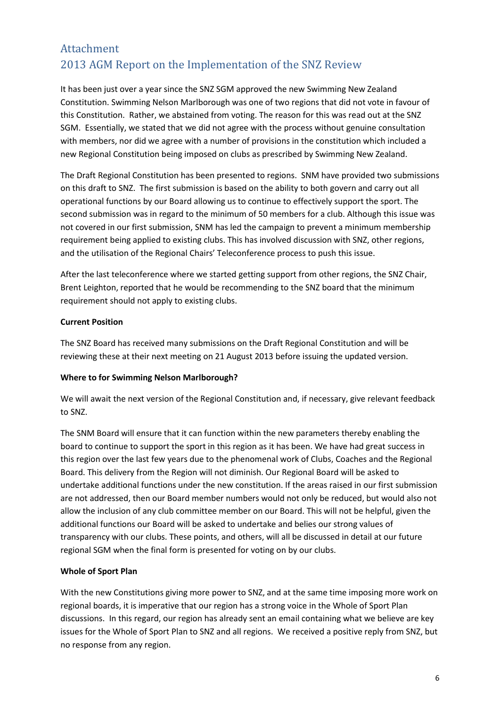# Attachment 2013 AGM Report on the Implementation of the SNZ Review

It has been just over a year since the SNZ SGM approved the new Swimming New Zealand Constitution. Swimming Nelson Marlborough was one of two regions that did not vote in favour of this Constitution. Rather, we abstained from voting. The reason for this was read out at the SNZ SGM. Essentially, we stated that we did not agree with the process without genuine consultation with members, nor did we agree with a number of provisions in the constitution which included a new Regional Constitution being imposed on clubs as prescribed by Swimming New Zealand.

The Draft Regional Constitution has been presented to regions. SNM have provided two submissions on this draft to SNZ. The first submission is based on the ability to both govern and carry out all operational functions by our Board allowing us to continue to effectively support the sport. The second submission was in regard to the minimum of 50 members for a club. Although this issue was not covered in our first submission, SNM has led the campaign to prevent a minimum membership requirement being applied to existing clubs. This has involved discussion with SNZ, other regions, and the utilisation of the Regional Chairs' Teleconference process to push this issue.

After the last teleconference where we started getting support from other regions, the SNZ Chair, Brent Leighton, reported that he would be recommending to the SNZ board that the minimum requirement should not apply to existing clubs.

## **Current Position**

The SNZ Board has received many submissions on the Draft Regional Constitution and will be reviewing these at their next meeting on 21 August 2013 before issuing the updated version.

## **Where to for Swimming Nelson Marlborough?**

We will await the next version of the Regional Constitution and, if necessary, give relevant feedback to SNZ.

The SNM Board will ensure that it can function within the new parameters thereby enabling the board to continue to support the sport in this region as it has been. We have had great success in this region over the last few years due to the phenomenal work of Clubs, Coaches and the Regional Board. This delivery from the Region will not diminish. Our Regional Board will be asked to undertake additional functions under the new constitution. If the areas raised in our first submission are not addressed, then our Board member numbers would not only be reduced, but would also not allow the inclusion of any club committee member on our Board. This will not be helpful, given the additional functions our Board will be asked to undertake and belies our strong values of transparency with our clubs. These points, and others, will all be discussed in detail at our future regional SGM when the final form is presented for voting on by our clubs.

## **Whole of Sport Plan**

With the new Constitutions giving more power to SNZ, and at the same time imposing more work on regional boards, it is imperative that our region has a strong voice in the Whole of Sport Plan discussions. In this regard, our region has already sent an email containing what we believe are key issues for the Whole of Sport Plan to SNZ and all regions. We received a positive reply from SNZ, but no response from any region.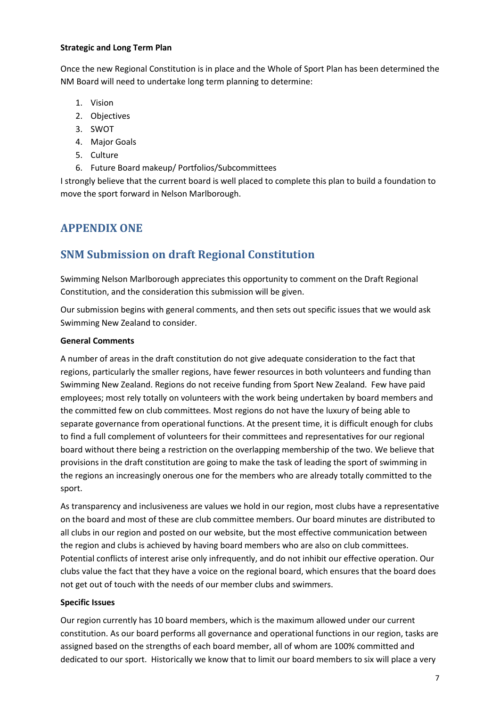## **Strategic and Long Term Plan**

Once the new Regional Constitution is in place and the Whole of Sport Plan has been determined the NM Board will need to undertake long term planning to determine:

- 1. Vision
- 2. Objectives
- 3. SWOT
- 4. Major Goals
- 5. Culture
- 6. Future Board makeup/ Portfolios/Subcommittees

I strongly believe that the current board is well placed to complete this plan to build a foundation to move the sport forward in Nelson Marlborough.

# **APPENDIX ONE**

# **SNM Submission on draft Regional Constitution**

Swimming Nelson Marlborough appreciates this opportunity to comment on the Draft Regional Constitution, and the consideration this submission will be given.

Our submission begins with general comments, and then sets out specific issues that we would ask Swimming New Zealand to consider.

## **General Comments**

A number of areas in the draft constitution do not give adequate consideration to the fact that regions, particularly the smaller regions, have fewer resources in both volunteers and funding than Swimming New Zealand. Regions do not receive funding from Sport New Zealand. Few have paid employees; most rely totally on volunteers with the work being undertaken by board members and the committed few on club committees. Most regions do not have the luxury of being able to separate governance from operational functions. At the present time, it is difficult enough for clubs to find a full complement of volunteers for their committees and representatives for our regional board without there being a restriction on the overlapping membership of the two. We believe that provisions in the draft constitution are going to make the task of leading the sport of swimming in the regions an increasingly onerous one for the members who are already totally committed to the sport.

As transparency and inclusiveness are values we hold in our region, most clubs have a representative on the board and most of these are club committee members. Our board minutes are distributed to all clubs in our region and posted on our website, but the most effective communication between the region and clubs is achieved by having board members who are also on club committees. Potential conflicts of interest arise only infrequently, and do not inhibit our effective operation. Our clubs value the fact that they have a voice on the regional board, which ensures that the board does not get out of touch with the needs of our member clubs and swimmers.

## **Specific Issues**

Our region currently has 10 board members, which is the maximum allowed under our current constitution. As our board performs all governance and operational functions in our region, tasks are assigned based on the strengths of each board member, all of whom are 100% committed and dedicated to our sport. Historically we know that to limit our board members to six will place a very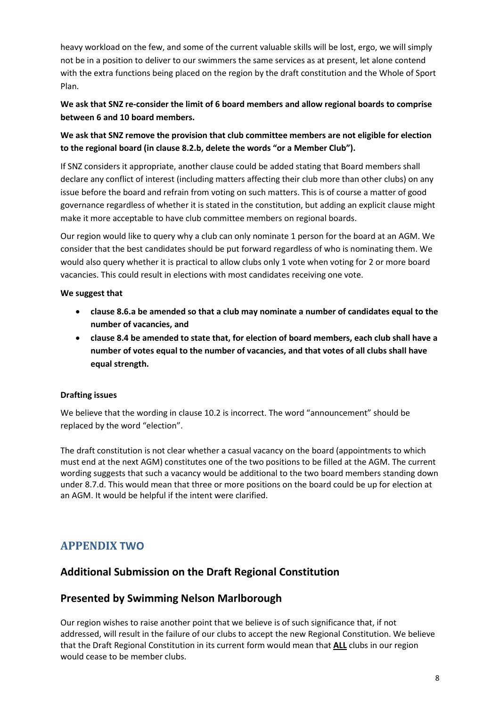heavy workload on the few, and some of the current valuable skills will be lost, ergo, we will simply not be in a position to deliver to our swimmers the same services as at present, let alone contend with the extra functions being placed on the region by the draft constitution and the Whole of Sport Plan.

# **We ask that SNZ re-consider the limit of 6 board members and allow regional boards to comprise between 6 and 10 board members.**

## **We ask that SNZ remove the provision that club committee members are not eligible for election to the regional board (in clause 8.2.b, delete the words "or a Member Club").**

If SNZ considers it appropriate, another clause could be added stating that Board members shall declare any conflict of interest (including matters affecting their club more than other clubs) on any issue before the board and refrain from voting on such matters. This is of course a matter of good governance regardless of whether it is stated in the constitution, but adding an explicit clause might make it more acceptable to have club committee members on regional boards.

Our region would like to query why a club can only nominate 1 person for the board at an AGM. We consider that the best candidates should be put forward regardless of who is nominating them. We would also query whether it is practical to allow clubs only 1 vote when voting for 2 or more board vacancies. This could result in elections with most candidates receiving one vote.

## **We suggest that**

- **clause 8.6.a be amended so that a club may nominate a number of candidates equal to the number of vacancies, and**
- **clause 8.4 be amended to state that, for election of board members, each club shall have a number of votes equal to the number of vacancies, and that votes of all clubs shall have equal strength.**

## **Drafting issues**

We believe that the wording in clause 10.2 is incorrect. The word "announcement" should be replaced by the word "election".

The draft constitution is not clear whether a casual vacancy on the board (appointments to which must end at the next AGM) constitutes one of the two positions to be filled at the AGM. The current wording suggests that such a vacancy would be additional to the two board members standing down under 8.7.d. This would mean that three or more positions on the board could be up for election at an AGM. It would be helpful if the intent were clarified.

# **APPENDIX TWO**

# **Additional Submission on the Draft Regional Constitution**

# **Presented by Swimming Nelson Marlborough**

Our region wishes to raise another point that we believe is of such significance that, if not addressed, will result in the failure of our clubs to accept the new Regional Constitution. We believe that the Draft Regional Constitution in its current form would mean that **ALL** clubs in our region would cease to be member clubs.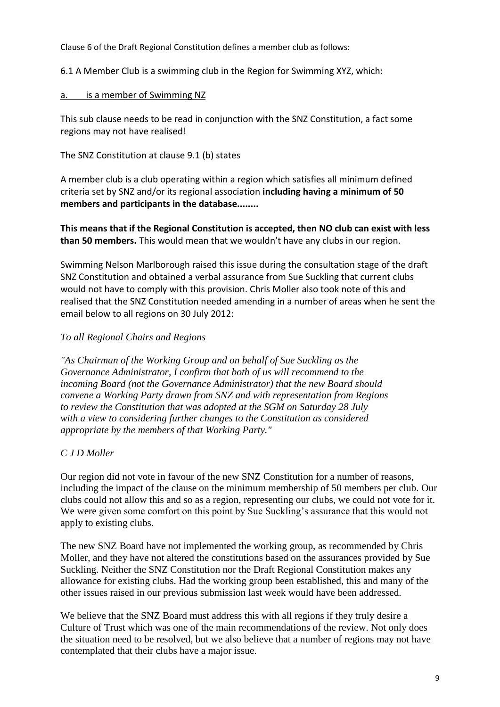Clause 6 of the Draft Regional Constitution defines a member club as follows:

6.1 A Member Club is a swimming club in the Region for Swimming XYZ, which:

# a. is a member of Swimming NZ

This sub clause needs to be read in conjunction with the SNZ Constitution, a fact some regions may not have realised!

The SNZ Constitution at clause 9.1 (b) states

A member club is a club operating within a region which satisfies all minimum defined criteria set by SNZ and/or its regional association **including having a minimum of 50 members and participants in the database........**

**This means that if the Regional Constitution is accepted, then NO club can exist with less than 50 members.** This would mean that we wouldn't have any clubs in our region.

Swimming Nelson Marlborough raised this issue during the consultation stage of the draft SNZ Constitution and obtained a verbal assurance from Sue Suckling that current clubs would not have to comply with this provision. Chris Moller also took note of this and realised that the SNZ Constitution needed amending in a number of areas when he sent the email below to all regions on 30 July 2012:

# *To all Regional Chairs and Regions*

*"As Chairman of the Working Group and on behalf of Sue Suckling as the Governance Administrator, I confirm that both of us will recommend to the incoming Board (not the Governance Administrator) that the new Board should convene a Working Party drawn from SNZ and with representation from Regions to review the Constitution that was adopted at the SGM on Saturday 28 July with a view to considering further changes to the Constitution as considered appropriate by the members of that Working Party."*

# *C J D Moller*

Our region did not vote in favour of the new SNZ Constitution for a number of reasons, including the impact of the clause on the minimum membership of 50 members per club. Our clubs could not allow this and so as a region, representing our clubs, we could not vote for it. We were given some comfort on this point by Sue Suckling's assurance that this would not apply to existing clubs.

The new SNZ Board have not implemented the working group, as recommended by Chris Moller, and they have not altered the constitutions based on the assurances provided by Sue Suckling. Neither the SNZ Constitution nor the Draft Regional Constitution makes any allowance for existing clubs. Had the working group been established, this and many of the other issues raised in our previous submission last week would have been addressed.

We believe that the SNZ Board must address this with all regions if they truly desire a Culture of Trust which was one of the main recommendations of the review. Not only does the situation need to be resolved, but we also believe that a number of regions may not have contemplated that their clubs have a major issue.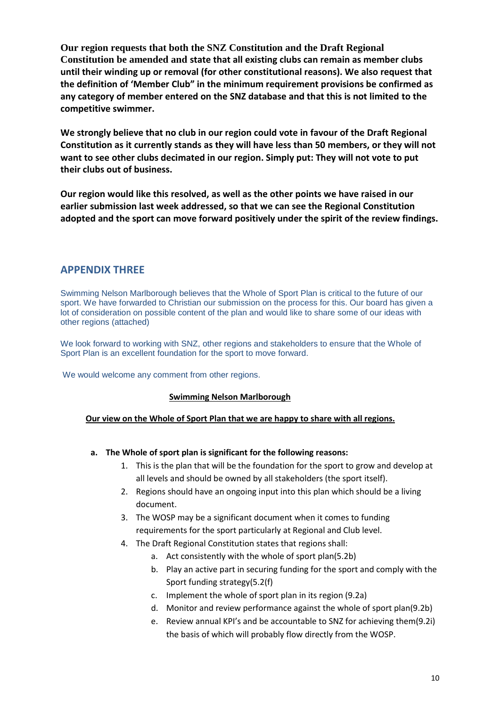**Our region requests that both the SNZ Constitution and the Draft Regional Constitution be amended and state that all existing clubs can remain as member clubs until their winding up or removal (for other constitutional reasons). We also request that the definition of 'Member Club" in the minimum requirement provisions be confirmed as any category of member entered on the SNZ database and that this is not limited to the competitive swimmer.**

**We strongly believe that no club in our region could vote in favour of the Draft Regional Constitution as it currently stands as they will have less than 50 members, or they will not want to see other clubs decimated in our region. Simply put: They will not vote to put their clubs out of business.**

**Our region would like this resolved, as well as the other points we have raised in our earlier submission last week addressed, so that we can see the Regional Constitution adopted and the sport can move forward positively under the spirit of the review findings.**

## **APPENDIX THREE**

Swimming Nelson Marlborough believes that the Whole of Sport Plan is critical to the future of our sport. We have forwarded to Christian our submission on the process for this. Our board has given a lot of consideration on possible content of the plan and would like to share some of our ideas with other regions (attached)

We look forward to working with SNZ, other regions and stakeholders to ensure that the Whole of Sport Plan is an excellent foundation for the sport to move forward.

We would welcome any comment from other regions.

#### **Swimming Nelson Marlborough**

## **Our view on the Whole of Sport Plan that we are happy to share with all regions.**

## **a. The Whole of sport plan is significant for the following reasons:**

- 1. This is the plan that will be the foundation for the sport to grow and develop at all levels and should be owned by all stakeholders (the sport itself).
- 2. Regions should have an ongoing input into this plan which should be a living document.
- 3. The WOSP may be a significant document when it comes to funding requirements for the sport particularly at Regional and Club level.
- 4. The Draft Regional Constitution states that regions shall:
	- a. Act consistently with the whole of sport plan(5.2b)
	- b. Play an active part in securing funding for the sport and comply with the Sport funding strategy(5.2(f)
	- c. Implement the whole of sport plan in its region (9.2a)
	- d. Monitor and review performance against the whole of sport plan(9.2b)
	- e. Review annual KPI's and be accountable to SNZ for achieving them(9.2i) the basis of which will probably flow directly from the WOSP.